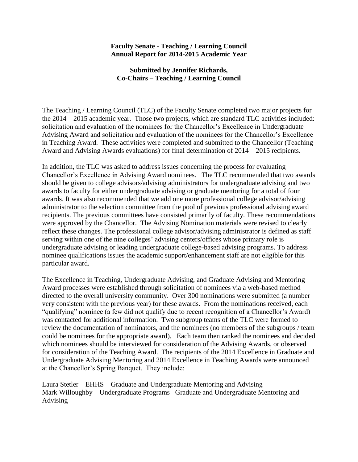## **Faculty Senate - Teaching / Learning Council Annual Report for 2014-2015 Academic Year**

## **Submitted by Jennifer Richards, Co-Chairs – Teaching / Learning Council**

The Teaching / Learning Council (TLC) of the Faculty Senate completed two major projects for the 2014 – 2015 academic year. Those two projects, which are standard TLC activities included: solicitation and evaluation of the nominees for the Chancellor's Excellence in Undergraduate Advising Award and solicitation and evaluation of the nominees for the Chancellor's Excellence in Teaching Award. These activities were completed and submitted to the Chancellor (Teaching Award and Advising Awards evaluations) for final determination of 2014 – 2015 recipients.

In addition, the TLC was asked to address issues concerning the process for evaluating Chancellor's Excellence in Advising Award nominees. The TLC recommended that two awards should be given to college advisors/advising administrators for undergraduate advising and two awards to faculty for either undergraduate advising or graduate mentoring for a total of four awards. It was also recommended that we add one more professional college advisor/advising administrator to the selection committee from the pool of previous professional advising award recipients. The previous committees have consisted primarily of faculty. These recommendations were approved by the Chancellor. The Advising Nomination materials were revised to clearly reflect these changes. The professional college advisor/advising administrator is defined as staff serving within one of the nine colleges' advising centers/offices whose primary role is undergraduate advising or leading undergraduate college-based advising programs. To address nominee qualifications issues the academic support/enhancement staff are not eligible for this particular award.

The Excellence in Teaching, Undergraduate Advising, and Graduate Advising and Mentoring Award processes were established through solicitation of nominees via a web-based method directed to the overall university community. Over 300 nominations were submitted (a number very consistent with the previous year) for these awards. From the nominations received, each "qualifying" nominee (a few did not qualify due to recent recognition of a Chancellor's Award) was contacted for additional information. Two subgroup teams of the TLC were formed to review the documentation of nominators, and the nominees (no members of the subgroups / team could be nominees for the appropriate award). Each team then ranked the nominees and decided which nominees should be interviewed for consideration of the Advising Awards, or observed for consideration of the Teaching Award. The recipients of the 2014 Excellence in Graduate and Undergraduate Advising Mentoring and 2014 Excellence in Teaching Awards were announced at the Chancellor's Spring Banquet. They include:

Laura Stetler – EHHS – Graduate and Undergraduate Mentoring and Advising Mark Willoughby – Undergraduate Programs– Graduate and Undergraduate Mentoring and Advising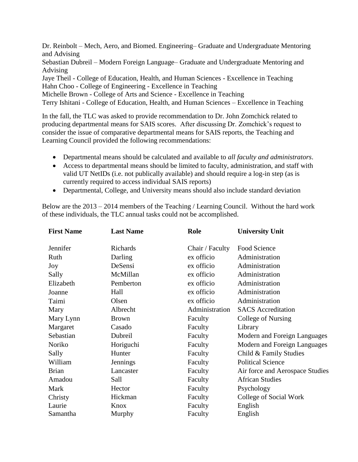Dr. Reinbolt – Mech, Aero, and Biomed. Engineering– Graduate and Undergraduate Mentoring and Advising

Sebastian Dubreil – Modern Foreign Language– Graduate and Undergraduate Mentoring and Advising

Jaye Theil - College of Education, Health, and Human Sciences - Excellence in Teaching Hahn Choo - College of Engineering - Excellence in Teaching

Michelle Brown - College of Arts and Science - Excellence in Teaching

Terry Ishitani - College of Education, Health, and Human Sciences – Excellence in Teaching

In the fall, the TLC was asked to provide recommendation to Dr. John Zomchick related to producing departmental means for SAIS scores. After discussing Dr. Zomchick's request to consider the issue of comparative departmental means for SAIS reports, the Teaching and Learning Council provided the following recommendations:

- Departmental means should be calculated and available to *all faculty and administrators*.
- Access to departmental means should be limited to faculty, administration, and staff with valid UT NetIDs (i.e. not publically available) and should require a log-in step (as is currently required to access individual SAIS reports)
- Departmental, College, and University means should also include standard deviation

Below are the 2013 – 2014 members of the Teaching / Learning Council. Without the hard work of these individuals, the TLC annual tasks could not be accomplished.

| <b>First Name</b> | <b>Last Name</b> | Role            | <b>University Unit</b>          |  |
|-------------------|------------------|-----------------|---------------------------------|--|
| Jennifer          | Richards         | Chair / Faculty | Food Science                    |  |
| Ruth              | Darling          | ex officio      | Administration                  |  |
| Joy               | DeSensi          | ex officio      | Administration                  |  |
| Sally             | McMillan         | ex officio      | Administration                  |  |
| Elizabeth         | Pemberton        | ex officio      | Administration                  |  |
| Joanne            | Hall             | ex officio      | Administration                  |  |
| Taimi             | Olsen            | ex officio      | Administration                  |  |
| Mary              | Albrecht         | Administration  | <b>SACS</b> Accreditation       |  |
| Mary Lynn         | <b>Brown</b>     | Faculty         | College of Nursing              |  |
| Margaret          | Casado           | Faculty         | Library                         |  |
| Sebastian         | Dubreil          | Faculty         | Modern and Foreign Languages    |  |
| Noriko            | Horiguchi        | Faculty         | Modern and Foreign Languages    |  |
| Sally             | Hunter           | Faculty         | Child & Family Studies          |  |
| William           | Jennings         | Faculty         | <b>Political Science</b>        |  |
| <b>Brian</b>      | Lancaster        | Faculty         | Air force and Aerospace Studies |  |
| Amadou            | Sall             | Faculty         | <b>African Studies</b>          |  |
| Mark              | Hector           | Faculty         | Psychology                      |  |
| Christy           | Hickman          | Faculty         | College of Social Work          |  |
| Laurie            | Knox             | Faculty         | English                         |  |
| Samantha          | Murphy           | Faculty         | English                         |  |